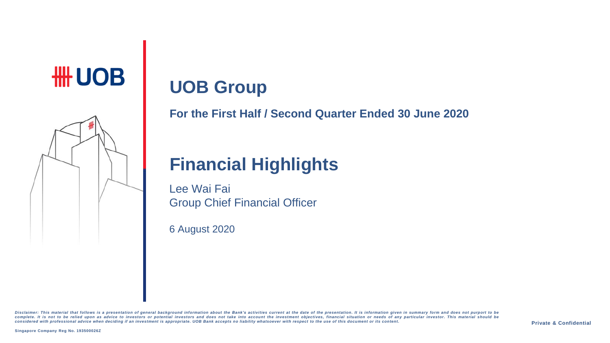# # UOB



# **UOB Group**

**For the First Half / Second Quarter Ended 30 June 2020**

## **Financial Highlights**

Lee Wai Fai Group Chief Financial Officer

6 August 2020

Disclaimer: This material that follows is a presentation of general background information about the Bank's activities current at the date of the presentation. It is information given in summary form and does not purport t complete. It is not to be relied upon as advice to investors or potential investors and does not take into account the investment objectives, financial situation or needs of any particular investor. This material should be considered with professional advice when deciding if an investment is appropriate. UOB Bank accepts no liability whatsoever with respect to the use of this document or its content.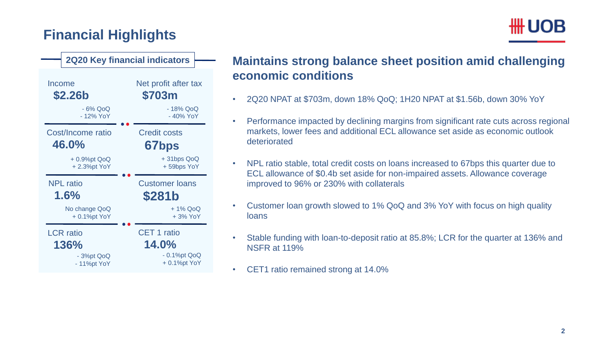### **Financial Highlights**



#### - 18% QoQ - 40% YoY Net profit after tax **\$703m** CET 1 ratio **14.0%** - 0.1%pt QoQ + 0.1%pt YoY Credit costs **67bps** + 31bps QoQ + 59bps YoY Income **\$2.26b 2Q20 Key financial indicators** - 6% QoQ - 12% YoY Cost/Income ratio **46.0%** + 0.9%pt QoQ + 2.3%pt YoY LCR ratio **136%** - 3%pt QoQ - 11%pt YoY NPL ratio **1.6%** Customer loans **\$281b** No change QoQ + 0.1%pt YoY + 1% QoQ + 3% YoY

### **Maintains strong balance sheet position amid challenging economic conditions**

- 2Q20 NPAT at \$703m, down 18% QoQ; 1H20 NPAT at \$1.56b, down 30% YoY
- Performance impacted by declining margins from significant rate cuts across regional markets, lower fees and additional ECL allowance set aside as economic outlook deteriorated
- NPL ratio stable, total credit costs on loans increased to 67bps this quarter due to ECL allowance of \$0.4b set aside for non-impaired assets. Allowance coverage improved to 96% or 230% with collaterals
- Customer loan growth slowed to 1% QoQ and 3% YoY with focus on high quality loans
- Stable funding with loan-to-deposit ratio at 85.8%; LCR for the quarter at 136% and NSFR at 119%
- CET1 ratio remained strong at 14.0%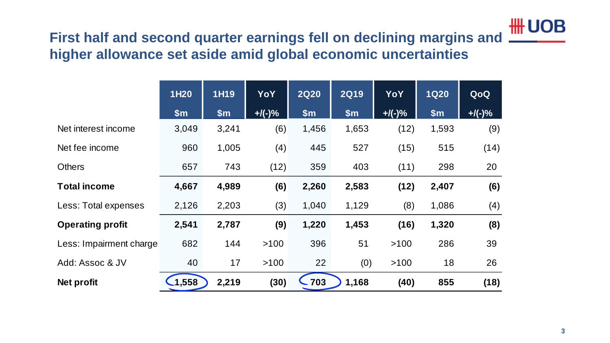

# **First half and second quarter earnings fell on declining margins and**

| higher allowance set aside amid global economic uncertainties |             |       |           |             |             |            |             |           |  |
|---------------------------------------------------------------|-------------|-------|-----------|-------------|-------------|------------|-------------|-----------|--|
|                                                               | <b>1H20</b> | 1H19  | YoY       | <b>2Q20</b> | <b>2Q19</b> | <b>YoY</b> | <b>1Q20</b> | QoQ       |  |
|                                                               | \$m\$       | \$m\$ | $+$ /(-)% | \$m\$       | \$m\$       | $+$ /(-)%  | \$m\$       | $+$ /(-)% |  |
| Net interest income                                           | 3,049       | 3,241 | (6)       | 1,456       | 1,653       | (12)       | 1,593       | (9)       |  |
| Net fee income                                                | 960         | 1,005 | (4)       | 445         | 527         | (15)       | 515         | (14)      |  |
| <b>Others</b>                                                 | 657         | 743   | (12)      | 359         | 403         | (11)       | 298         | 20        |  |
| <b>Total income</b>                                           | 4,667       | 4,989 | (6)       | 2,260       | 2,583       | (12)       | 2,407       | (6)       |  |
| Less: Total expenses                                          | 2,126       | 2,203 | (3)       | 1,040       | 1,129       | (8)        | 1,086       | (4)       |  |
| <b>Operating profit</b>                                       | 2,541       | 2,787 | (9)       | 1,220       | 1,453       | (16)       | 1,320       | (8)       |  |
| Less: Impairment charge                                       | 682         | 144   | >100      | 396         | 51          | >100       | 286         | 39        |  |
| Add: Assoc & JV                                               | 40          | 17    | >100      | 22          | (0)         | >100       | 18          | 26        |  |
| <b>Net profit</b>                                             | $-1,558$    | 2,219 | (30)      | $-703$      | 1,168       | (40)       | 855         | (18)      |  |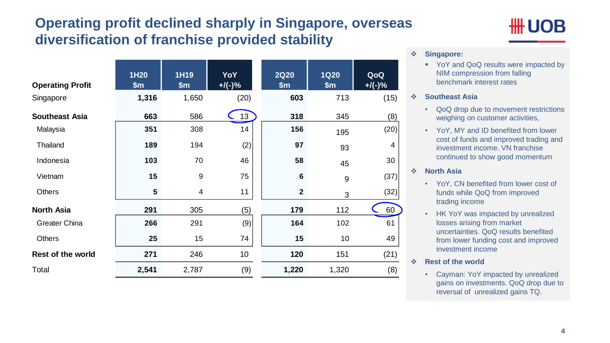### **Operating profit declined sharply in Singapore, overseas diversification of franchise provided stability**

| <b>Operating Profit</b>  | <b>1H20</b><br>\$m\$ | 1H19<br>\$m\$    | YoY<br>$+$ /(-)% | <b>2Q20</b><br>\$m\$ | <b>1Q20</b><br>\$m\$ | QoQ<br>$+$ /(-)% |
|--------------------------|----------------------|------------------|------------------|----------------------|----------------------|------------------|
| Singapore                | 1,316                | 1,650            | (20)             | 603                  | 713                  | (15)             |
| <b>Southeast Asia</b>    | 663                  | 586              | 13               | 318                  | 345                  | (8)              |
| Malaysia                 | 351                  | 308              | 14               | 156                  | 195                  | (20)             |
| Thailand                 | 189                  | 194              | (2)              | 97                   | 93                   | 4                |
| Indonesia                | 103                  | 70               | 46               | 58                   | 45                   | 30               |
| Vietnam                  | 15                   | $\boldsymbol{9}$ | 75               | $6\phantom{1}$       | $9\,$                | (37)             |
| <b>Others</b>            | $5\phantom{1}$       | $\overline{4}$   | 11               | $\boldsymbol{2}$     | 3                    | (32)             |
| <b>North Asia</b>        | 291                  | 305              | (5)              | 179                  | 112                  | 60               |
| <b>Greater China</b>     | 266                  | 291              | (9)              | 164                  | 102                  | 61               |
| <b>Others</b>            | 25                   | 15               | 74               | 15                   | 10                   | 49               |
| <b>Rest of the world</b> | 271                  | 246              | 10               | 120                  | 151                  | (21)             |
| Total                    | 2,541                | 2,787            | (9)              | 1,220                | 1,320                | (8)              |

## UOB

#### **Singapore:**

YoY and QoQ results were impacted by NIM compression from falling benchmark interest rates

#### **Southeast Asia**

- QoQ drop due to movement restrictions weighing on customer activities,
- YoY, MY and ID benefited from lower cost of funds and improved trading and investment income. VN franchise continued to show good momentum

#### **North Asia**

- YoY, CN benefited from lower cost of funds while QoQ from improved trading income
- HK YoY was impacted by unrealized losses arising from market uncertainties. QoQ results benefited from lower funding cost and improved investment income
- **Rest of the world** 
	- Cayman: YoY impacted by unrealized gains on investments. QoQ drop due to reversal of unrealized gains TQ.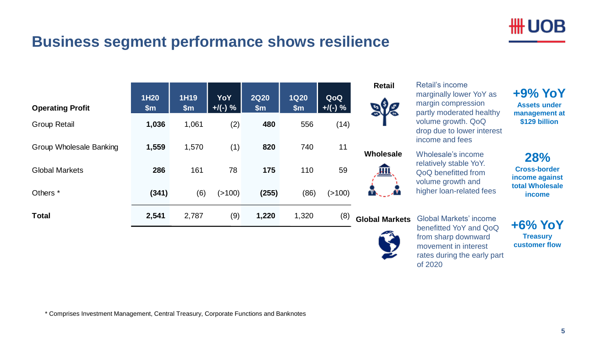

### **Business segment performance shows resilience**

| <b>Operating Profit</b> | 1H20<br>$\mathsf{Sm}$ | 1H19<br>\$m\$ | <b>YoY</b><br>$+$ /(-) % | <b>2Q20</b><br>\$m\$ | <b>1Q20</b><br>\$m\$ | QoQ<br>$+$ /(-) % | <b>Retail</b>       |
|-------------------------|-----------------------|---------------|--------------------------|----------------------|----------------------|-------------------|---------------------|
| <b>Group Retail</b>     | 1,036                 | 1,061         | (2)                      | 480                  | 556                  | (14)              |                     |
| Group Wholesale Banking | 1,559                 | 1,570         | (1)                      | 820                  | 740                  | 11                | Wholesale           |
| <b>Global Markets</b>   | 286                   | 161           | 78                       | 175                  | 110                  | 59                | ш                   |
| Others <sup>*</sup>     | (341)                 | (6)           | (>100)                   | (255)                | (86)                 | (>100)            |                     |
| <b>Total</b>            | 2,541                 | 2,787         | (9)                      | 1,220                | 1,320                | (8)               | <b>Global Marke</b> |

Retail's income marginally lower YoY as margin compression partly moderated healthy volume growth. QoQ drop due to lower interest income and fees

Wholesale's income relatively stable YoY. QoQ benefitted from volume growth and higher loan-related fees

#### **Global Markets** Global Markets' income



benefitted YoY and QoQ from sharp downward movement in interest rates during the early part of 2020

**+9% YoY Assets under management at \$129 billion**

**28% Cross-border income against total Wholesale income**

**+6% YoY Treasury customer flow**

\* Comprises Investment Management, Central Treasury, Corporate Functions and Banknotes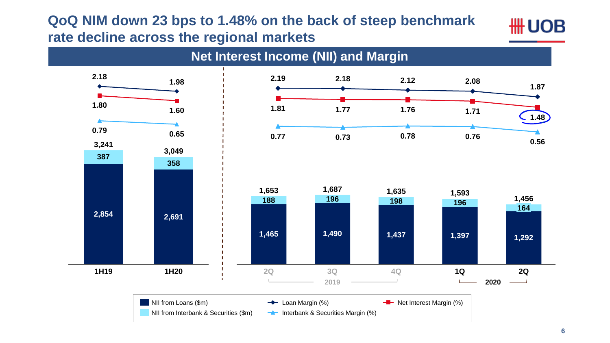### **QoQ NIM down 23 bps to 1.48% on the back of steep benchmark rate decline across the regional markets**



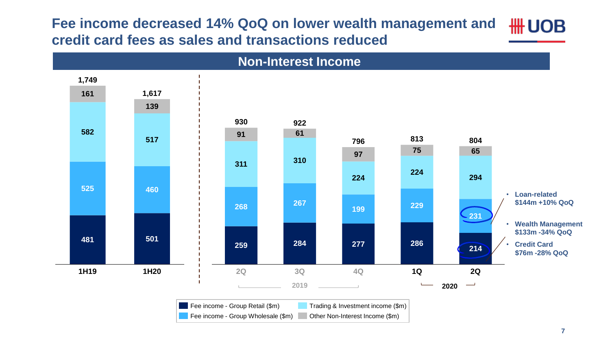**Fee income decreased 14% QoQ on lower wealth management and HH UOB credit card fees as sales and transactions reduced**

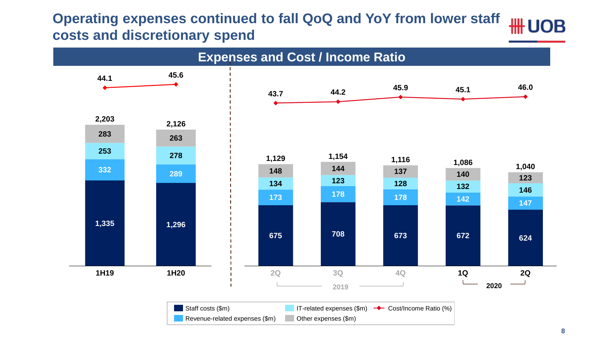#### **Operating expenses continued to fall QoQ and YoY from lower staff HH UOB costs and discretionary spend**

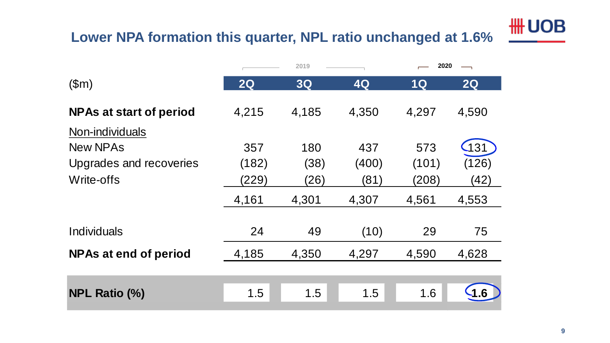# **HH UOB**

### **Lower NPA formation this quarter, NPL ratio unchanged at 1.6%**

|                                                          | 2019                  |                     | 2020                 |                       |                               |
|----------------------------------------------------------|-----------------------|---------------------|----------------------|-----------------------|-------------------------------|
| \$m\$                                                    | 2Q                    | 3Q                  | 4Q                   | 1Q                    | 2Q                            |
| <b>NPAs at start of period</b><br>Non-individuals        | 4,215                 | 4,185               | 4,350                | 4,297                 | 4,590                         |
| <b>New NPAs</b><br>Upgrades and recoveries<br>Write-offs | 357<br>(182)<br>(229) | 180<br>(38)<br>(26) | 437<br>(400)<br>(81) | 573<br>(101)<br>(208) | $\sqrt{131}$<br>(126)<br>(42) |
|                                                          | 4,161                 | 4,301               | 4,307                | 4,561                 | 4,553                         |
| <b>Individuals</b>                                       | 24                    | 49                  | (10)                 | 29                    | 75                            |
| <b>NPAs at end of period</b>                             | 4,185                 | 4,350               | 4,297                | 4,590                 | 4,628                         |
|                                                          |                       |                     |                      |                       |                               |
| <b>NPL Ratio (%)</b>                                     | 1.5                   | 1.5                 | 1.5                  | 1.6                   | -1.6                          |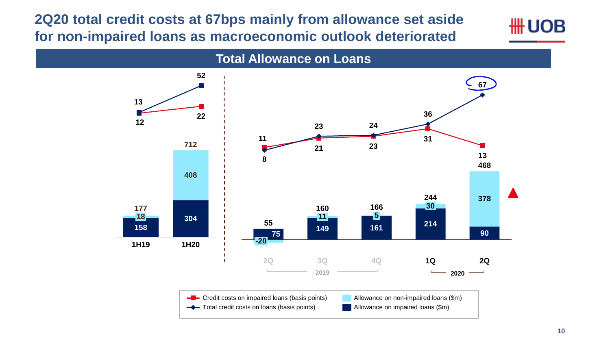**2Q20 total credit costs at 67bps mainly from allowance set aside for non-impaired loans as macroeconomic outlook deteriorated**



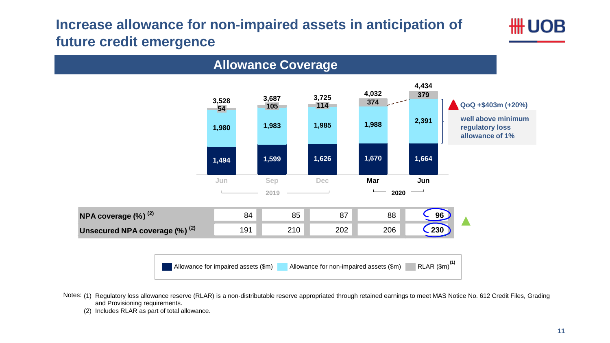### **Increase allowance for non-impaired assets in anticipation of future credit emergence**



Notes: (1) Regulatory loss allowance reserve (RLAR) is a non-distributable reserve appropriated through retained earnings to meet MAS Notice No. 612 Credit Files, Grading and Provisioning requirements.

(2) Includes RLAR as part of total allowance.

₩ UOB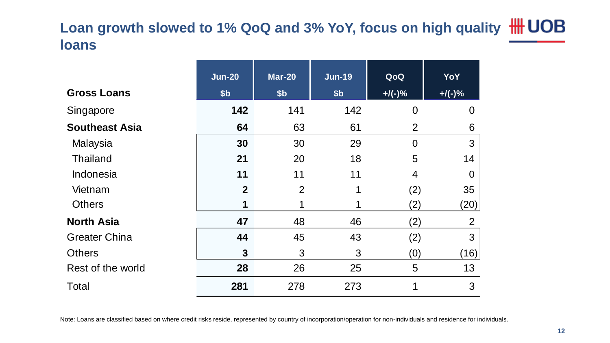### **Loan growth slowed to 1% QoQ and 3% YoY, focus on high quality loans**

|                       | <b>Jun-20</b>  | <b>Mar-20</b>   | <b>Jun-19</b>   | QoQ            | YoY            |
|-----------------------|----------------|-----------------|-----------------|----------------|----------------|
| <b>Gross Loans</b>    | \$b            | \$ <sub>b</sub> | \$ <sub>b</sub> | $+$ /(-)%      | $+$ /(-)%      |
| Singapore             | 142            | 141             | 142             | $\overline{0}$ | $\overline{0}$ |
| <b>Southeast Asia</b> | 64             | 63              | 61              | $\overline{2}$ | 6              |
| Malaysia              | 30             | 30              | 29              | $\overline{0}$ | 3              |
| <b>Thailand</b>       | 21             | 20              | 18              | 5              | 14             |
| Indonesia             | 11             | 11              | 11              | $\overline{4}$ | $\Omega$       |
| Vietnam               | $\overline{2}$ | $\overline{2}$  | 1               | (2)            | 35             |
| <b>Others</b>         | 1              |                 |                 | (2)            | (20)           |
| <b>North Asia</b>     | 47             | 48              | 46              | (2)            | $\overline{2}$ |
| <b>Greater China</b>  | 44             | 45              | 43              | (2)            | 3              |
| <b>Others</b>         | 3              | 3               | 3               | (0)            | (16)           |
| Rest of the world     | 28             | 26              | 25              | 5              | 13             |
| <b>Total</b>          | 281            | 278             | 273             | 1              | 3              |

Note: Loans are classified based on where credit risks reside, represented by country of incorporation/operation for non-individuals and residence for individuals.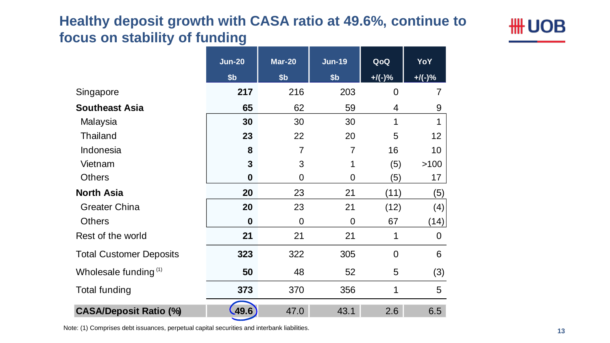### **Healthy deposit growth with CASA ratio at 49.6%, continue to focus on stability of funding**



|                                | <b>Jun-20</b>    | <b>Mar-20</b>   | <b>Jun-19</b>   | QoQ            | YoY            |
|--------------------------------|------------------|-----------------|-----------------|----------------|----------------|
|                                | \$ <sub>b</sub>  | \$ <sub>b</sub> | \$ <sub>b</sub> | $+$ /(-)%      | $+$ /(-)%      |
| Singapore                      | 217              | 216             | 203             | $\overline{0}$ | 7              |
| <b>Southeast Asia</b>          | 65               | 62              | 59              | 4              | 9              |
| Malaysia                       | 30               | 30              | 30              | 1              | 1              |
| <b>Thailand</b>                | 23               | 22              | 20              | 5              | 12             |
| Indonesia                      | 8                | $\overline{7}$  | $\overline{7}$  | 16             | 10             |
| Vietnam                        | $\mathbf{3}$     | 3               | 1               | (5)            | >100           |
| <b>Others</b>                  | $\boldsymbol{0}$ | $\overline{0}$  | $\overline{0}$  | (5)            | 17             |
| <b>North Asia</b>              | 20               | 23              | 21              | (11)           | (5)            |
| <b>Greater China</b>           | 20               | 23              | 21              | (12)           | (4)            |
| <b>Others</b>                  | $\bf{0}$         | $\overline{0}$  | $\overline{0}$  | 67             | (14)           |
| Rest of the world              | 21               | 21              | 21              | 1              | $\overline{0}$ |
| <b>Total Customer Deposits</b> | 323              | 322             | 305             | $\overline{0}$ | 6              |
| Wholesale funding $(1)$        | 50               | 48              | 52              | 5              | (3)            |
| <b>Total funding</b>           | 373              | 370             | 356             | 1              | 5              |
| <b>CASA/Deposit Ratio (%)</b>  | .49.6)           | 47.0            | 43.1            | 2.6            | 6.5            |

Note: (1) Comprises debt issuances, perpetual capital securities and interbank liabilities.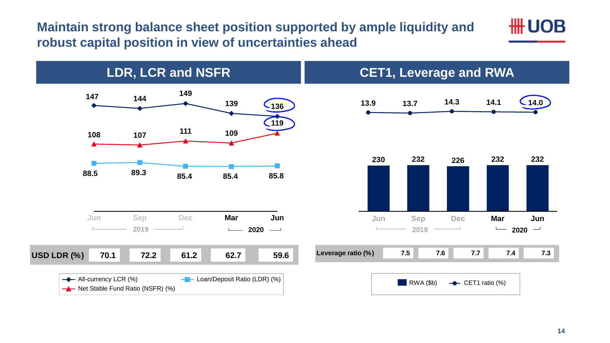**Maintain strong balance sheet position supported by ample liquidity and robust capital position in view of uncertainties ahead** 



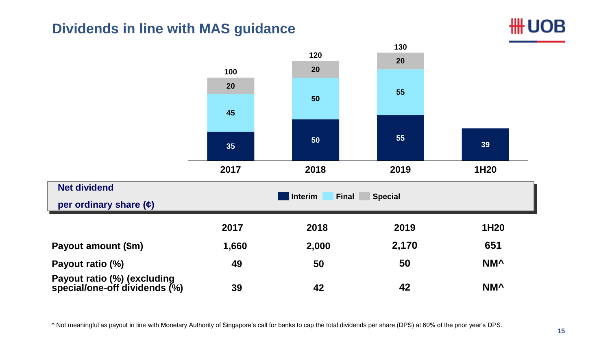### **Dividends in line with MAS guidance**





^ Not meaningful as payout in line with Monetary Authority of Singapore's call for banks to cap the total dividends per share (DPS) at 60% of the prior year's DPS.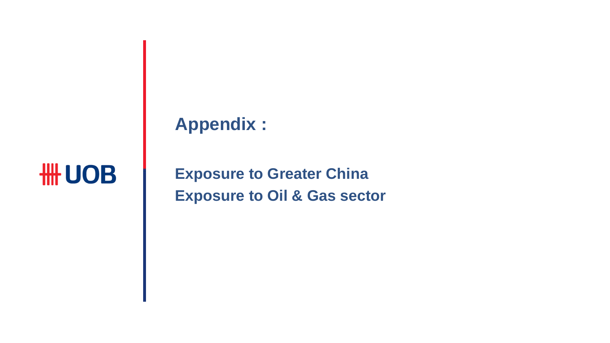## **Appendix :**

# # UOB

**Exposure to Greater China Exposure to Oil & Gas sector**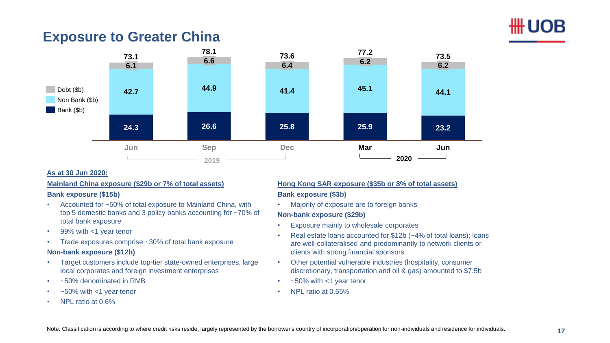

### **Exposure to Greater China**



#### **As at 30 Jun 2020:**

#### **Mainland China exposure (\$29b or 7% of total assets)**

#### **Bank exposure (\$15b)**

- Accounted for ~50% of total exposure to Mainland China, with top 5 domestic banks and 3 policy banks accounting for ~70% of total bank exposure
- 99% with <1 year tenor
- Trade exposures comprise ~30% of total bank exposure

#### **Non-bank exposure (\$12b)**

- Target customers include top-tier state-owned enterprises, large local corporates and foreign investment enterprises
- ~50% denominated in RMB
- $\sim$  50% with  $<$ 1 year tenor
- NPL ratio at 0.6%

### **Hong Kong SAR exposure (\$35b or 8% of total assets)**

#### **Bank exposure (\$3b)**

• Majority of exposure are to foreign banks

#### **Non-bank exposure (\$29b)**

- Exposure mainly to wholesale corporates
- Real estate loans accounted for \$12b (~4% of total loans); loans are well-collateralised and predominantly to network clients or clients with strong financial sponsors
- Other potential vulnerable industries (hospitality, consumer discretionary, transportation and oil & gas) amounted to \$7.5b
- $\sim$  50% with  $<$ 1 year tenor
- NPL ratio at 0.65%